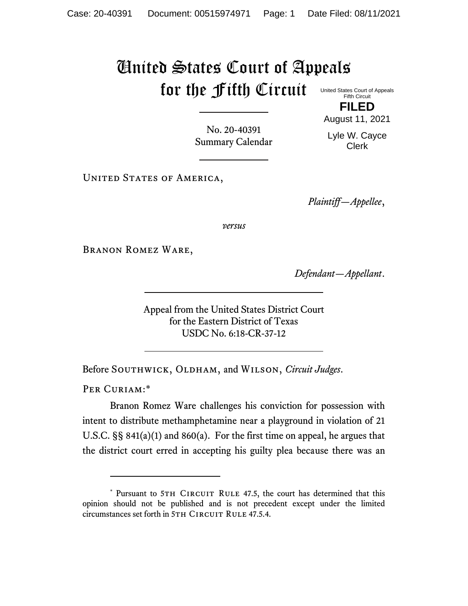## United States Court of Appeals for the Fifth Circuit United States Court of Appeals

Fifth Circuit **FILED**

No. 20-40391 Summary Calendar August 11, 2021 Lyle W. Cayce Clerk

UNITED STATES OF AMERICA,

*Plaintiff—Appellee*,

*versus*

Branon Romez Ware,

*Defendant—Appellant*.

Appeal from the United States District Court for the Eastern District of Texas USDC No. 6:18-CR-37-12

Before SOUTHWICK, OLDHAM, and WILSON, *Circuit Judges*.

PER CURIAM:\*

Branon Romez Ware challenges his conviction for possession with intent to distribute methamphetamine near a playground in violation of 21 U.S.C. §§ 841(a)(1) and 860(a). For the first time on appeal, he argues that the district court erred in accepting his guilty plea because there was an

<sup>\*</sup> Pursuant to 5TH CIRCUIT RULE 47.5, the court has determined that this opinion should not be published and is not precedent except under the limited circumstances set forth in 5TH CIRCUIT RULE 47.5.4.